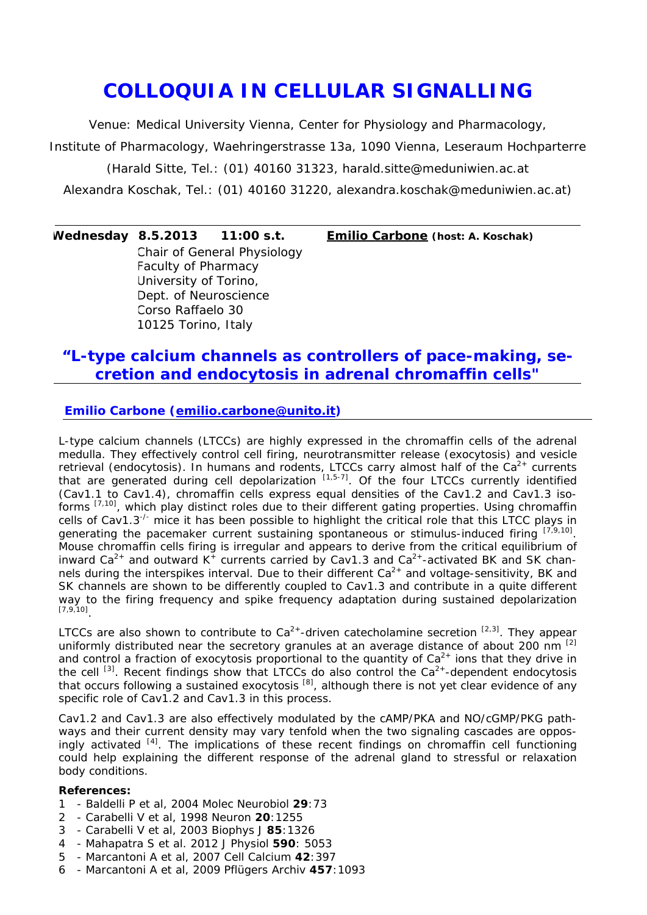## *COLLOQUIA IN CELLULAR SIGNALLING*

Venue: Medical University Vienna, Center for Physiology and Pharmacology,

Institute of Pharmacology, Waehringerstrasse 13a, 1090 Vienna, Leseraum Hochparterre

(Harald Sitte, Tel.: (01) 40160 31323, *harald.sitte@meduniwien.ac.at*

Alexandra Koschak, Tel.: (01) 40160 31220, *alexandra.koschak@meduniwien.ac.at)*

**Wednesday 8.5.2013 11:00 s.t. Emilio Carbone (host: A. Koschak)** Chair of General Physiology Faculty of Pharmacy University of Torino, Dept. of Neuroscience Corso Raffaelo 30 10125 Torino, Italy

## *"L-type calcium channels as controllers of pace-making, secretion and endocytosis in adrenal chromaffin cells"*

## **Emilio Carbone (emilio.carbone@unito.it)**

L-type calcium channels (LTCCs) are highly expressed in the chromaffin cells of the adrenal medulla. They effectively control cell firing, neurotransmitter release (exocytosis) and vesicle retrieval (endocytosis). In humans and rodents, LTCCs carry almost half of the  $Ca<sup>2+</sup>$  currents that are generated during cell depolarization  $[1,5-7]$ . Of the four LTCCs currently identified (Cav1.1 to Cav1.4), chromaffin cells express equal densities of the Cav1.2 and Cav1.3 isoforms [7,10], which play distinct roles due to their different gating properties. Using chromaffin cells of Cav1.3<sup>-/-</sup> mice it has been possible to highlight the critical role that this LTCC plays in generating the pacemaker current sustaining spontaneous or stimulus-induced firing  $[7,9,10]$ . Mouse chromaffin cells firing is irregular and appears to derive from the critical equilibrium of inward Ca<sup>2+</sup> and outward  $K^+$  currents carried by Cav1.3 and Ca<sup>2+</sup>-activated BK and SK channels during the interspikes interval. Due to their different  $Ca<sup>2+</sup>$  and voltage-sensitivity, BK and SK channels are shown to be differently coupled to Cav1.3 and contribute in a quite different way to the firing frequency and spike frequency adaptation during sustained depolarization [7,9,10].

LTCCs are also shown to contribute to  $Ca^{2+}$ -driven catecholamine secretion  $[2,3]$ . They appear uniformly distributed near the secretory granules at an average distance of about 200 nm <sup>[2]</sup> and control a fraction of exocytosis proportional to the quantity of  $Ca<sup>2+</sup>$  ions that they drive in the cell  $^{[3]}$ . Recent findings show that LTCCs do also control the Ca<sup>2+</sup>-dependent endocytosis that occurs following a sustained exocytosis  $^{[8]}$ , although there is not yet clear evidence of any specific role of Cav1.2 and Cav1.3 in this process.

Cav1.2 and Cav1.3 are also effectively modulated by the cAMP/PKA and NO/cGMP/PKG pathways and their current density may vary tenfold when the two signaling cascades are opposingly activated <sup>[4]</sup>. The implications of these recent findings on chromaffin cell functioning could help explaining the different response of the adrenal gland to *stressful* or *relaxation* body conditions.

## **References:**

- 1 Baldelli P et al, 2004 *Molec Neurobiol* **29**:73
- 2 Carabelli V et al, 1998 *Neuron* **20**:1255
- 3 Carabelli V et al, 2003 *Biophys J* **85**:1326
- 4 Mahapatra S et al. 2012 *J Physiol* **590**: 5053
- 5 Marcantoni A et al, 2007 *Cell Calcium* **42**:397
- 6 Marcantoni A et al, 2009 *Pflügers Archiv* **457**:1093